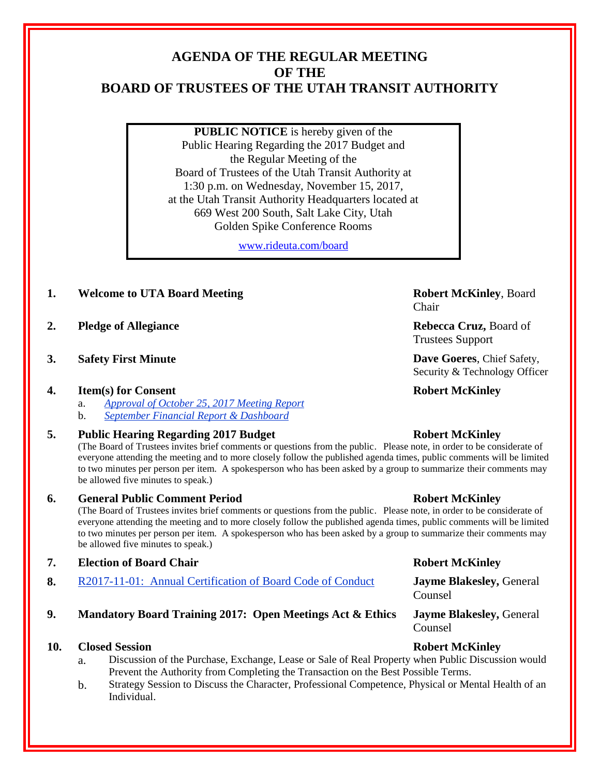# **AGENDA OF THE REGULAR MEETING OF THE BOARD OF TRUSTEES OF THE UTAH TRANSIT AUTHORITY**

**PUBLIC NOTICE** is hereby given of the Public Hearing Regarding the 2017 Budget and the Regular Meeting of the Board of Trustees of the Utah Transit Authority at 1:30 p.m. on Wednesday, November 15, 2017, at the Utah Transit Authority Headquarters located at 669 West 200 South, Salt Lake City, Utah Golden Spike Conference Rooms

[www.rideuta.com/board](http://www.rideuta.com/board)

# **1. Welcome to UTA Board Meeting Robert McKinley**, Board

- **2. Pledge of Allegiance Rebecca Cruz, Board of**
- **3. Safety First Minute Dave Goeres**, Chief Safety,

### **4. Item(s) for Consent Robert McKinley**

- a. *Approval of October 25, 2017 Meeting Report*
- b. *September Financial Report & Dashboard*

### **5. Public Hearing Regarding 2017 Budget Robert McKinley**

(The Board of Trustees invites brief comments or questions from the public. Please note, in order to be considerate of everyone attending the meeting and to more closely follow the published agenda times, public comments will be limited to two minutes per person per item. A spokesperson who has been asked by a group to summarize their comments may be allowed five minutes to speak.)

### **6. General Public Comment Period Robert McKinley**

(The Board of Trustees invites brief comments or questions from the public. Please note, in order to be considerate of everyone attending the meeting and to more closely follow the published agenda times, public comments will be limited to two minutes per person per item. A spokesperson who has been asked by a group to summarize their comments may be allowed five minutes to speak.)

- **7. Election of Board Chair Robert McKinley**
- **8.** R2017-11-01: Annual Certification of Board Code of Conduct **Jayme Blakesley,** General

# **9. Mandatory Board Training 2017: Open Meetings Act & Ethics Jayme Blakesley,** General

### **10. Closed Session Robert McKinley**

- a. Discussion of the Purchase, Exchange, Lease or Sale of Real Property when Public Discussion would Prevent the Authority from Completing the Transaction on the Best Possible Terms.
- b. Strategy Session to Discuss the Character, Professional Competence, Physical or Mental Health of an Individual.

Chair

Trustees Support

Security & Technology Officer

Counsel

Counsel